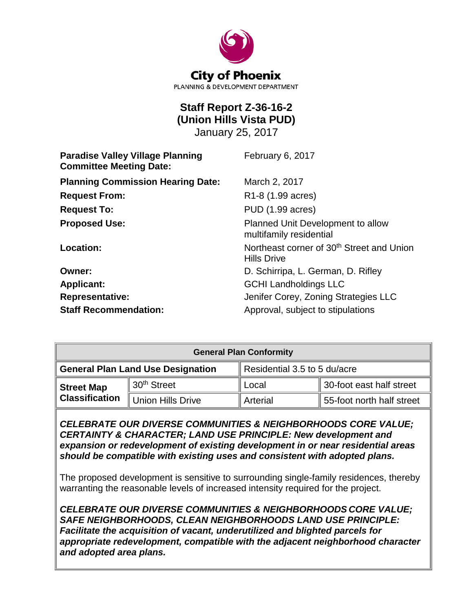

# **Staff Report Z-36-16-2 (Union Hills Vista PUD)**

January 25, 2017

| <b>Paradise Valley Village Planning</b><br><b>Committee Meeting Date:</b> | February 6, 2017                                                            |
|---------------------------------------------------------------------------|-----------------------------------------------------------------------------|
| <b>Planning Commission Hearing Date:</b>                                  | March 2, 2017                                                               |
| <b>Request From:</b>                                                      | R <sub>1</sub> -8 (1.99 acres)                                              |
| <b>Request To:</b>                                                        | PUD (1.99 acres)                                                            |
| <b>Proposed Use:</b>                                                      | Planned Unit Development to allow<br>multifamily residential                |
| Location:                                                                 | Northeast corner of 30 <sup>th</sup> Street and Union<br><b>Hills Drive</b> |
| Owner:                                                                    | D. Schirripa, L. German, D. Rifley                                          |
| <b>Applicant:</b>                                                         | <b>GCHI Landholdings LLC</b>                                                |
| <b>Representative:</b>                                                    | Jenifer Corey, Zoning Strategies LLC                                        |
| <b>Staff Recommendation:</b>                                              | Approval, subject to stipulations                                           |

| <b>General Plan Conformity</b> |                                          |                              |                           |
|--------------------------------|------------------------------------------|------------------------------|---------------------------|
|                                | <b>General Plan Land Use Designation</b> | Residential 3.5 to 5 du/acre |                           |
| <b>Street Map</b>              | 30 <sup>th</sup> Street                  | Local                        | 30-foot east half street  |
| <b>Classification</b>          | <b>Union Hills Drive</b>                 | Arterial                     | 55-foot north half street |

*CELEBRATE OUR DIVERSE COMMUNITIES & NEIGHBORHOODS CORE VALUE; CERTAINTY & CHARACTER; LAND USE PRINCIPLE: New development and expansion or redevelopment of existing development in or near residential areas should be compatible with existing uses and consistent with adopted plans.*

The proposed development is sensitive to surrounding single-family residences, thereby warranting the reasonable levels of increased intensity required for the project.

*CELEBRATE OUR DIVERSE COMMUNITIES & NEIGHBORHOODS CORE VALUE; SAFE NEIGHBORHOODS, CLEAN NEIGHBORHOODS LAND USE PRINCIPLE: Facilitate the acquisition of vacant, underutilized and blighted parcels for appropriate redevelopment, compatible with the adjacent neighborhood character and adopted area plans.*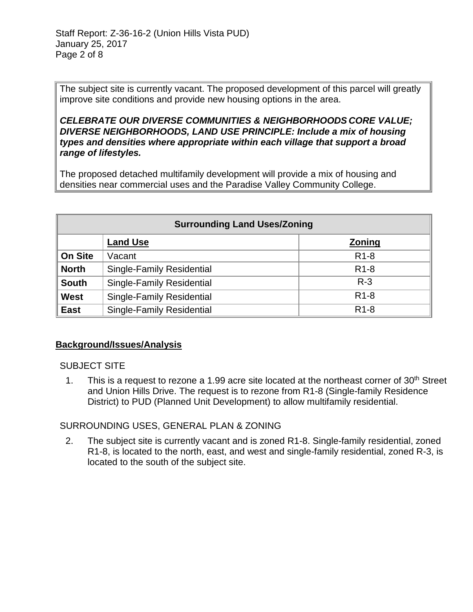The subject site is currently vacant. The proposed development of this parcel will greatly improve site conditions and provide new housing options in the area.

*CELEBRATE OUR DIVERSE COMMUNITIES & NEIGHBORHOODS CORE VALUE; DIVERSE NEIGHBORHOODS, LAND USE PRINCIPLE: Include a mix of housing types and densities where appropriate within each village that support a broad range of lifestyles.* 

The proposed detached multifamily development will provide a mix of housing and densities near commercial uses and the Paradise Valley Community College.

| <b>Surrounding Land Uses/Zoning</b> |                                  |                   |
|-------------------------------------|----------------------------------|-------------------|
|                                     | <b>Land Use</b>                  | Zoning            |
| <b>On Site</b>                      | Vacant                           | R <sub>1</sub> -8 |
| <b>North</b>                        | <b>Single-Family Residential</b> | R <sub>1</sub> -8 |
| <b>South</b>                        | <b>Single-Family Residential</b> | $R - 3$           |
| <b>West</b>                         | <b>Single-Family Residential</b> | R <sub>1</sub> -8 |
| <b>East</b>                         | <b>Single-Family Residential</b> | R <sub>1</sub> -8 |

#### **Background/Issues/Analysis**

SUBJECT SITE

1. This is a request to rezone a 1.99 acre site located at the northeast corner of  $30<sup>th</sup>$  Street and Union Hills Drive. The request is to rezone from R1-8 (Single-family Residence District) to PUD (Planned Unit Development) to allow multifamily residential.

# SURROUNDING USES, GENERAL PLAN & ZONING

2. The subject site is currently vacant and is zoned R1-8. Single-family residential, zoned R1-8, is located to the north, east, and west and single-family residential, zoned R-3, is located to the south of the subject site.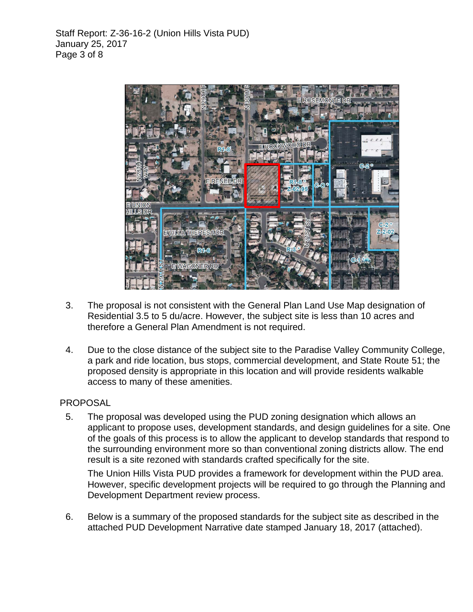

- 3. The proposal is not consistent with the General Plan Land Use Map designation of Residential 3.5 to 5 du/acre. However, the subject site is less than 10 acres and therefore a General Plan Amendment is not required.
- 4. Due to the close distance of the subject site to the Paradise Valley Community College, a park and ride location, bus stops, commercial development, and State Route 51; the proposed density is appropriate in this location and will provide residents walkable access to many of these amenities.

#### PROPOSAL

5. The proposal was developed using the PUD zoning designation which allows an applicant to propose uses, development standards, and design guidelines for a site. One of the goals of this process is to allow the applicant to develop standards that respond to the surrounding environment more so than conventional zoning districts allow. The end result is a site rezoned with standards crafted specifically for the site.

The Union Hills Vista PUD provides a framework for development within the PUD area. However, specific development projects will be required to go through the Planning and Development Department review process.

6. Below is a summary of the proposed standards for the subject site as described in the attached PUD Development Narrative date stamped January 18, 2017 (attached).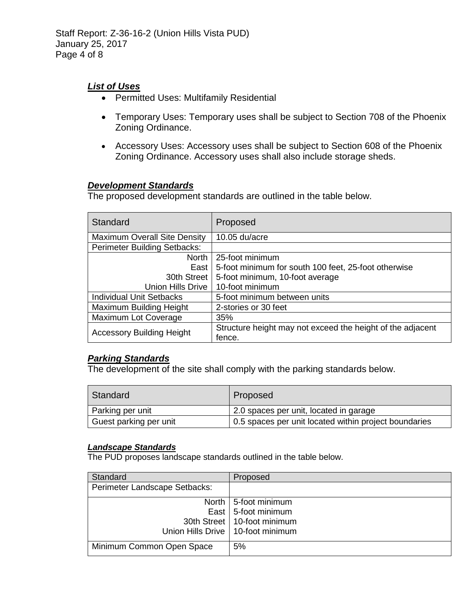Staff Report: Z-36-16-2 (Union Hills Vista PUD) January 25, 2017 Page 4 of 8

# *List of Uses*

- Permitted Uses: Multifamily Residential
- Temporary Uses: Temporary uses shall be subject to Section 708 of the Phoenix Zoning Ordinance.
- Accessory Uses: Accessory uses shall be subject to Section 608 of the Phoenix Zoning Ordinance. Accessory uses shall also include storage sheds.

#### *Development Standards*

The proposed development standards are outlined in the table below.

| Standard                         | Proposed                                                             |
|----------------------------------|----------------------------------------------------------------------|
| Maximum Overall Site Density     | 10.05 du/acre                                                        |
| Perimeter Building Setbacks:     |                                                                      |
| North                            | 25-foot minimum                                                      |
| East                             | 5-foot minimum for south 100 feet, 25-foot otherwise                 |
| 30th Street                      | 5-foot minimum, 10-foot average                                      |
| <b>Union Hills Drive</b>         | 10-foot minimum                                                      |
| <b>Individual Unit Setbacks</b>  | 5-foot minimum between units                                         |
| Maximum Building Height          | 2-stories or 30 feet                                                 |
| Maximum Lot Coverage             | 35%                                                                  |
| <b>Accessory Building Height</b> | Structure height may not exceed the height of the adjacent<br>fence. |

# *Parking Standards*

The development of the site shall comply with the parking standards below.

| Standard               | Proposed                                              |
|------------------------|-------------------------------------------------------|
| Parking per unit       | 2.0 spaces per unit, located in garage                |
| Guest parking per unit | 0.5 spaces per unit located within project boundaries |

#### *Landscape Standards*

The PUD proposes landscape standards outlined in the table below.

| Standard                      | Proposed                            |
|-------------------------------|-------------------------------------|
| Perimeter Landscape Setbacks: |                                     |
|                               | North   5-foot minimum              |
|                               | East   5-foot minimum               |
|                               | 30th Street   10-foot minimum       |
|                               | Union Hills Drive   10-foot minimum |
| Minimum Common Open Space     | 5%                                  |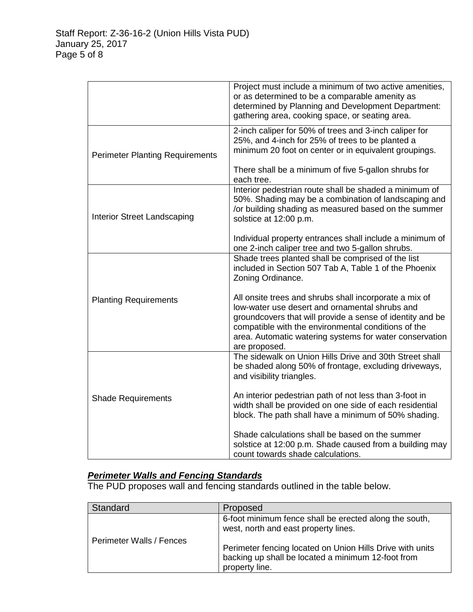|                                        | Project must include a minimum of two active amenities,<br>or as determined to be a comparable amenity as<br>determined by Planning and Development Department:<br>gathering area, cooking space, or seating area.                                                                                       |
|----------------------------------------|----------------------------------------------------------------------------------------------------------------------------------------------------------------------------------------------------------------------------------------------------------------------------------------------------------|
| <b>Perimeter Planting Requirements</b> | 2-inch caliper for 50% of trees and 3-inch caliper for<br>25%, and 4-inch for 25% of trees to be planted a<br>minimum 20 foot on center or in equivalent groupings.                                                                                                                                      |
|                                        | There shall be a minimum of five 5-gallon shrubs for<br>each tree.                                                                                                                                                                                                                                       |
| <b>Interior Street Landscaping</b>     | Interior pedestrian route shall be shaded a minimum of<br>50%. Shading may be a combination of landscaping and<br>/or building shading as measured based on the summer<br>solstice at 12:00 p.m.                                                                                                         |
|                                        | Individual property entrances shall include a minimum of<br>one 2-inch caliper tree and two 5-gallon shrubs.                                                                                                                                                                                             |
|                                        | Shade trees planted shall be comprised of the list<br>included in Section 507 Tab A, Table 1 of the Phoenix<br>Zoning Ordinance.                                                                                                                                                                         |
| <b>Planting Requirements</b>           | All onsite trees and shrubs shall incorporate a mix of<br>low-water use desert and ornamental shrubs and<br>groundcovers that will provide a sense of identity and be<br>compatible with the environmental conditions of the<br>area. Automatic watering systems for water conservation<br>are proposed. |
|                                        | The sidewalk on Union Hills Drive and 30th Street shall<br>be shaded along 50% of frontage, excluding driveways,<br>and visibility triangles.                                                                                                                                                            |
| <b>Shade Requirements</b>              | An interior pedestrian path of not less than 3-foot in<br>width shall be provided on one side of each residential<br>block. The path shall have a minimum of 50% shading.                                                                                                                                |
|                                        | Shade calculations shall be based on the summer<br>solstice at 12:00 p.m. Shade caused from a building may<br>count towards shade calculations.                                                                                                                                                          |

# *Perimeter Walls and Fencing Standards*

The PUD proposes wall and fencing standards outlined in the table below.

| Standard                 | Proposed                                                                                                                          |
|--------------------------|-----------------------------------------------------------------------------------------------------------------------------------|
|                          | 6-foot minimum fence shall be erected along the south,<br>west, north and east property lines.                                    |
| Perimeter Walls / Fences | Perimeter fencing located on Union Hills Drive with units<br>backing up shall be located a minimum 12-foot from<br>property line. |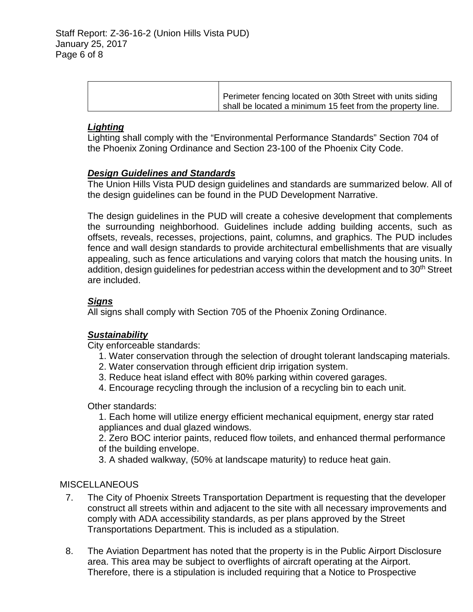| Perimeter fencing located on 30th Street with units siding |
|------------------------------------------------------------|
| shall be located a minimum 15 feet from the property line. |

## *Lighting*

Lighting shall comply with the "Environmental Performance Standards" Section 704 of the Phoenix Zoning Ordinance and Section 23-100 of the Phoenix City Code.

## *Design Guidelines and Standards*

The Union Hills Vista PUD design guidelines and standards are summarized below. All of the design guidelines can be found in the PUD Development Narrative.

The design guidelines in the PUD will create a cohesive development that complements the surrounding neighborhood. Guidelines include adding building accents, such as offsets, reveals, recesses, projections, paint, columns, and graphics. The PUD includes fence and wall design standards to provide architectural embellishments that are visually appealing, such as fence articulations and varying colors that match the housing units. In addition, design guidelines for pedestrian access within the development and to 30<sup>th</sup> Street are included.

# *Signs*

All signs shall comply with Section 705 of the Phoenix Zoning Ordinance.

#### *Sustainability*

City enforceable standards:

- 1. Water conservation through the selection of drought tolerant landscaping materials.
- 2. Water conservation through efficient drip irrigation system.
- 3. Reduce heat island effect with 80% parking within covered garages.
- 4. Encourage recycling through the inclusion of a recycling bin to each unit.

Other standards:

1. Each home will utilize energy efficient mechanical equipment, energy star rated appliances and dual glazed windows.

2. Zero BOC interior paints, reduced flow toilets, and enhanced thermal performance of the building envelope.

3. A shaded walkway, (50% at landscape maturity) to reduce heat gain.

#### **MISCELLANEOUS**

- 7. The City of Phoenix Streets Transportation Department is requesting that the developer construct all streets within and adjacent to the site with all necessary improvements and comply with ADA accessibility standards, as per plans approved by the Street Transportations Department. This is included as a stipulation.
- 8. The Aviation Department has noted that the property is in the Public Airport Disclosure area. This area may be subject to overflights of aircraft operating at the Airport. Therefore, there is a stipulation is included requiring that a Notice to Prospective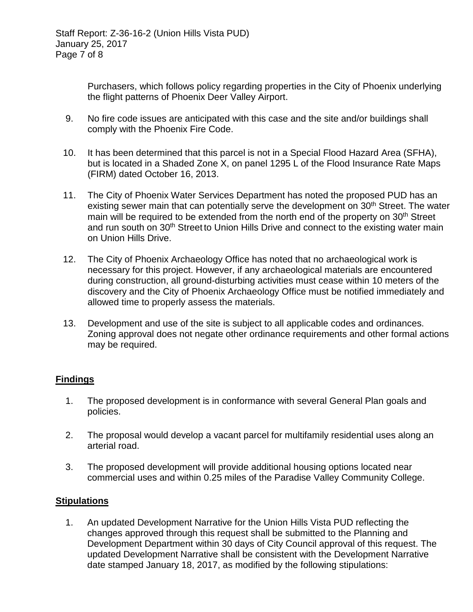Purchasers, which follows policy regarding properties in the City of Phoenix underlying the flight patterns of Phoenix Deer Valley Airport.

- 9. No fire code issues are anticipated with this case and the site and/or buildings shall comply with the Phoenix Fire Code.
- 10. It has been determined that this parcel is not in a Special Flood Hazard Area (SFHA), but is located in a Shaded Zone X, on panel 1295 L of the Flood Insurance Rate Maps (FIRM) dated October 16, 2013.
- 11. The City of Phoenix Water Services Department has noted the proposed PUD has an existing sewer main that can potentially serve the development on 30<sup>th</sup> Street. The water main will be required to be extended from the north end of the property on 30<sup>th</sup> Street and run south on 30<sup>th</sup> Street to Union Hills Drive and connect to the existing water main on Union Hills Drive.
- 12. The City of Phoenix Archaeology Office has noted that no archaeological work is necessary for this project. However, if any archaeological materials are encountered during construction, all ground-disturbing activities must cease within 10 meters of the discovery and the City of Phoenix Archaeology Office must be notified immediately and allowed time to properly assess the materials.
- 13. Development and use of the site is subject to all applicable codes and ordinances. Zoning approval does not negate other ordinance requirements and other formal actions may be required.

# **Findings**

- 1. The proposed development is in conformance with several General Plan goals and policies.
- 2. The proposal would develop a vacant parcel for multifamily residential uses along an arterial road.
- 3. The proposed development will provide additional housing options located near commercial uses and within 0.25 miles of the Paradise Valley Community College.

# **Stipulations**

1. An updated Development Narrative for the Union Hills Vista PUD reflecting the changes approved through this request shall be submitted to the Planning and Development Department within 30 days of City Council approval of this request. The updated Development Narrative shall be consistent with the Development Narrative date stamped January 18, 2017, as modified by the following stipulations: